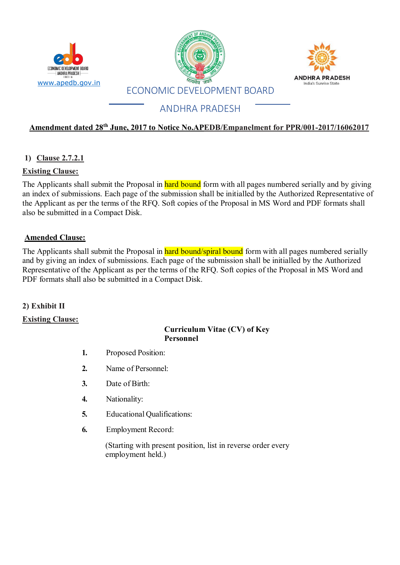





# ANDHRA PRADESH

# **Amendment dated 28th June, 2017 to Notice No.APEDB/Empanelment for PPR/001-2017/16062017**

# **1) Clause 2.7.2.1**

## **Existing Clause:**

The Applicants shall submit the Proposal in hard bound form with all pages numbered serially and by giving an index of submissions. Each page of the submission shall be initialled by the Authorized Representative of the Applicant as per the terms of the RFQ. Soft copies of the Proposal in MS Word and PDF formats shall also be submitted in a Compact Disk.

## **Amended Clause:**

The Applicants shall submit the Proposal in hard bound/spiral bound form with all pages numbered serially and by giving an index of submissions. Each page of the submission shall be initialled by the Authorized Representative of the Applicant as per the terms of the RFQ. Soft copies of the Proposal in MS Word and PDF formats shall also be submitted in a Compact Disk.

### **2) Exhibit II**

### **Existing Clause:**

#### **Curriculum Vitae (CV) of Key Personnel**

- **1.** Proposed Position:
- **2.** Name of Personnel:
- **3.** Date of Birth:
- **4.** Nationality:
- **5.** Educational Qualifications:
- **6.** Employment Record:

(Starting with present position, list in reverse order every employment held.)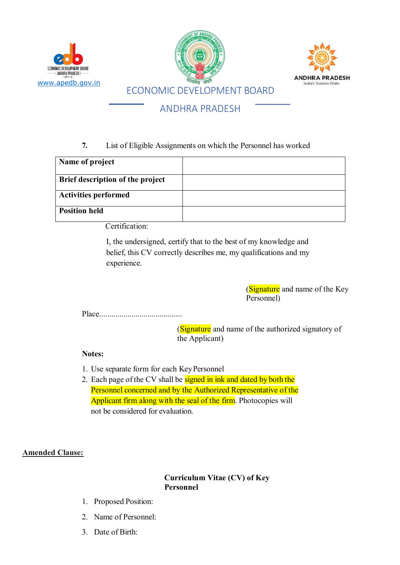

# ANDHRA PRADESH

# **7.** List of Eligible Assignments on which the Personnel has worked

| Name of project                  |  |
|----------------------------------|--|
| Brief description of the project |  |
| <b>Activities performed</b>      |  |
| <b>Position held</b>             |  |

Certification:

I, the undersigned, certify that to the best of my knowledge and belief, this CV correctly describes me, my qualifications and my experience.

> (Signature and name of the Key Personnel)

Place.........................................

(Signature and name of the authorized signatory of the Applicant)

# **Notes:**

- 1. Use separate form for each KeyPersonnel
- 2. Each page of the CV shall be signed in ink and dated by both the Personnel concerned and by the Authorized Representative of the Applicant firm along with the seal of the firm. Photocopies will not be considered for evaluation.

# **Amended Clause:**

**Curriculum Vitae (CV) of Key Personnel**

- 1. Proposed Position:
- 2. Name of Personnel:
- 3. Date of Birth: